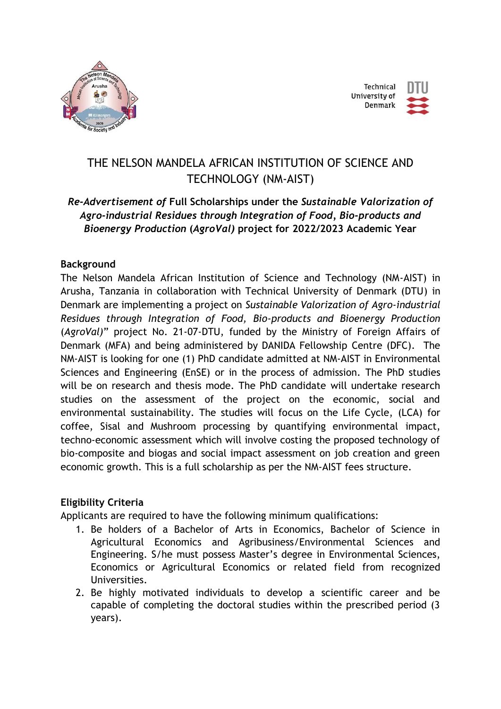



# THE NELSON MANDELA AFRICAN INSTITUTION OF SCIENCE AND TECHNOLOGY (NM-AIST)

## *Re-Advertisement of* **Full Scholarships under the** *Sustainable Valorization of Agro-industrial Residues through Integration of Food, Bio-products and Bioenergy Production* **(***AgroVal)* **project for 2022/2023 Academic Year**

#### **Background**

The Nelson Mandela African Institution of Science and Technology (NM-AIST) in Arusha, Tanzania in collaboration with Technical University of Denmark (DTU) in Denmark are implementing a project on *Sustainable Valorization of Agro-industrial Residues through Integration of Food, Bio-products and Bioenergy Production* (*AgroVal)*" project No. 21-07-DTU, funded by the Ministry of Foreign Affairs of Denmark (MFA) and being administered by DANIDA Fellowship Centre (DFC). The NM-AIST is looking for one (1) PhD candidate admitted at NM-AIST in Environmental Sciences and Engineering (EnSE) or in the process of admission. The PhD studies will be on research and thesis mode. The PhD candidate will undertake research studies on the assessment of the project on the economic, social and environmental sustainability. The studies will focus on the Life Cycle, (LCA) for coffee, Sisal and Mushroom processing by quantifying environmental impact, techno-economic assessment which will involve costing the proposed technology of bio-composite and biogas and social impact assessment on job creation and green economic growth. This is a full scholarship as per the NM-AIST fees structure.

#### **Eligibility Criteria**

Applicants are required to have the following minimum qualifications:

- 1. Be holders of a Bachelor of Arts in Economics, Bachelor of Science in Agricultural Economics and Agribusiness/Environmental Sciences and Engineering. S/he must possess Master's degree in Environmental Sciences, Economics or Agricultural Economics or related field from recognized Universities.
- 2. Be highly motivated individuals to develop a scientific career and be capable of completing the doctoral studies within the prescribed period (3 years).